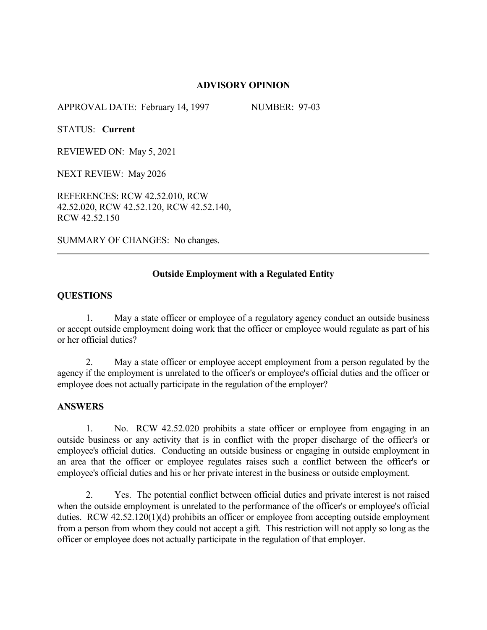# **ADVISORY OPINION**

APPROVAL DATE: February 14, 1997 NUMBER: 97-03

STATUS: **Current**

REVIEWED ON: May 5, 2021

NEXT REVIEW: May 2026

REFERENCES: RCW 42.52.010, RCW 42.52.020, RCW 42.52.120, RCW 42.52.140, RCW 42.52.150

SUMMARY OF CHANGES: No changes.

# **Outside Employment with a Regulated Entity**

## **QUESTIONS**

1. May a state officer or employee of a regulatory agency conduct an outside business or accept outside employment doing work that the officer or employee would regulate as part of his or her official duties?

2. May a state officer or employee accept employment from a person regulated by the agency if the employment is unrelated to the officer's or employee's official duties and the officer or employee does not actually participate in the regulation of the employer?

# **ANSWERS**

1. No. RCW 42.52.020 prohibits a state officer or employee from engaging in an outside business or any activity that is in conflict with the proper discharge of the officer's or employee's official duties. Conducting an outside business or engaging in outside employment in an area that the officer or employee regulates raises such a conflict between the officer's or employee's official duties and his or her private interest in the business or outside employment.

2. Yes. The potential conflict between official duties and private interest is not raised when the outside employment is unrelated to the performance of the officer's or employee's official duties. RCW 42.52.120(1)(d) prohibits an officer or employee from accepting outside employment from a person from whom they could not accept a gift. This restriction will not apply so long as the officer or employee does not actually participate in the regulation of that employer.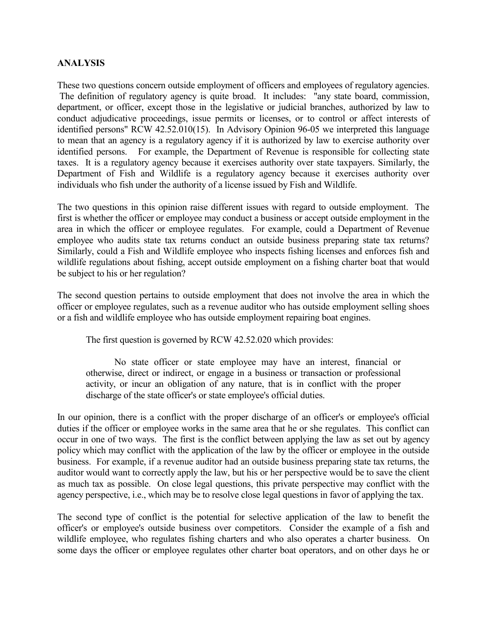# **ANALYSIS**

These two questions concern outside employment of officers and employees of regulatory agencies. The definition of regulatory agency is quite broad. It includes: "any state board, commission, department, or officer, except those in the legislative or judicial branches, authorized by law to conduct adjudicative proceedings, issue permits or licenses, or to control or affect interests of identified persons" RCW 42.52.010(15). In Advisory Opinion 96-05 we interpreted this language to mean that an agency is a regulatory agency if it is authorized by law to exercise authority over identified persons. For example, the Department of Revenue is responsible for collecting state taxes. It is a regulatory agency because it exercises authority over state taxpayers. Similarly, the Department of Fish and Wildlife is a regulatory agency because it exercises authority over individuals who fish under the authority of a license issued by Fish and Wildlife.

The two questions in this opinion raise different issues with regard to outside employment. The first is whether the officer or employee may conduct a business or accept outside employment in the area in which the officer or employee regulates. For example, could a Department of Revenue employee who audits state tax returns conduct an outside business preparing state tax returns? Similarly, could a Fish and Wildlife employee who inspects fishing licenses and enforces fish and wildlife regulations about fishing, accept outside employment on a fishing charter boat that would be subject to his or her regulation?

The second question pertains to outside employment that does not involve the area in which the officer or employee regulates, such as a revenue auditor who has outside employment selling shoes or a fish and wildlife employee who has outside employment repairing boat engines.

The first question is governed by RCW 42.52.020 which provides:

No state officer or state employee may have an interest, financial or otherwise, direct or indirect, or engage in a business or transaction or professional activity, or incur an obligation of any nature, that is in conflict with the proper discharge of the state officer's or state employee's official duties.

In our opinion, there is a conflict with the proper discharge of an officer's or employee's official duties if the officer or employee works in the same area that he or she regulates. This conflict can occur in one of two ways. The first is the conflict between applying the law as set out by agency policy which may conflict with the application of the law by the officer or employee in the outside business. For example, if a revenue auditor had an outside business preparing state tax returns, the auditor would want to correctly apply the law, but his or her perspective would be to save the client as much tax as possible. On close legal questions, this private perspective may conflict with the agency perspective, i.e., which may be to resolve close legal questions in favor of applying the tax.

The second type of conflict is the potential for selective application of the law to benefit the officer's or employee's outside business over competitors. Consider the example of a fish and wildlife employee, who regulates fishing charters and who also operates a charter business. On some days the officer or employee regulates other charter boat operators, and on other days he or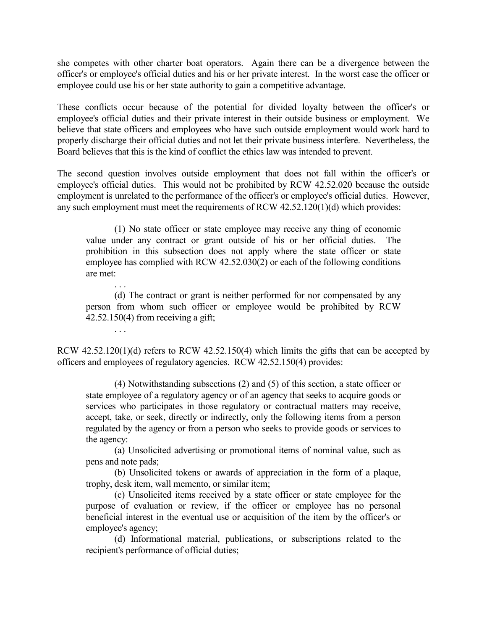she competes with other charter boat operators. Again there can be a divergence between the officer's or employee's official duties and his or her private interest. In the worst case the officer or employee could use his or her state authority to gain a competitive advantage.

These conflicts occur because of the potential for divided loyalty between the officer's or employee's official duties and their private interest in their outside business or employment. We believe that state officers and employees who have such outside employment would work hard to properly discharge their official duties and not let their private business interfere. Nevertheless, the Board believes that this is the kind of conflict the ethics law was intended to prevent.

The second question involves outside employment that does not fall within the officer's or employee's official duties. This would not be prohibited by RCW 42.52.020 because the outside employment is unrelated to the performance of the officer's or employee's official duties. However, any such employment must meet the requirements of RCW 42.52.120(1)(d) which provides:

(1) No state officer or state employee may receive any thing of economic value under any contract or grant outside of his or her official duties. The prohibition in this subsection does not apply where the state officer or state employee has complied with RCW 42.52.030(2) or each of the following conditions are met:

. . . (d) The contract or grant is neither performed for nor compensated by any person from whom such officer or employee would be prohibited by RCW 42.52.150(4) from receiving a gift;

. . .

RCW 42.52.120(1)(d) refers to RCW 42.52.150(4) which limits the gifts that can be accepted by officers and employees of regulatory agencies. RCW 42.52.150(4) provides:

(4) Notwithstanding subsections (2) and (5) of this section, a state officer or state employee of a regulatory agency or of an agency that seeks to acquire goods or services who participates in those regulatory or contractual matters may receive, accept, take, or seek, directly or indirectly, only the following items from a person regulated by the agency or from a person who seeks to provide goods or services to the agency:

(a) Unsolicited advertising or promotional items of nominal value, such as pens and note pads;

(b) Unsolicited tokens or awards of appreciation in the form of a plaque, trophy, desk item, wall memento, or similar item;

(c) Unsolicited items received by a state officer or state employee for the purpose of evaluation or review, if the officer or employee has no personal beneficial interest in the eventual use or acquisition of the item by the officer's or employee's agency;

(d) Informational material, publications, or subscriptions related to the recipient's performance of official duties;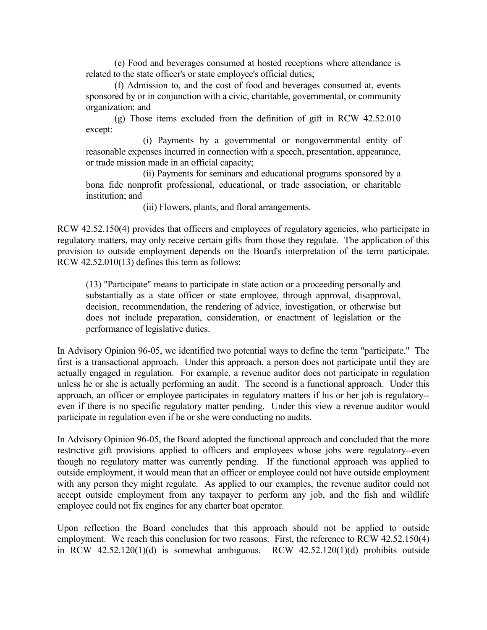(e) Food and beverages consumed at hosted receptions where attendance is related to the state officer's or state employee's official duties;

(f) Admission to, and the cost of food and beverages consumed at, events sponsored by or in conjunction with a civic, charitable, governmental, or community organization; and

(g) Those items excluded from the definition of gift in RCW 42.52.010 except:

(i) Payments by a governmental or nongovernmental entity of reasonable expenses incurred in connection with a speech, presentation, appearance, or trade mission made in an official capacity;

(ii) Payments for seminars and educational programs sponsored by a bona fide nonprofit professional, educational, or trade association, or charitable institution; and

(iii) Flowers, plants, and floral arrangements.

RCW 42.52.150(4) provides that officers and employees of regulatory agencies, who participate in regulatory matters, may only receive certain gifts from those they regulate. The application of this provision to outside employment depends on the Board's interpretation of the term participate. RCW 42.52.010(13) defines this term as follows:

(13) "Participate" means to participate in state action or a proceeding personally and substantially as a state officer or state employee, through approval, disapproval, decision, recommendation, the rendering of advice, investigation, or otherwise but does not include preparation, consideration, or enactment of legislation or the performance of legislative duties.

In Advisory Opinion 96-05, we identified two potential ways to define the term "participate." The first is a transactional approach. Under this approach, a person does not participate until they are actually engaged in regulation. For example, a revenue auditor does not participate in regulation unless he or she is actually performing an audit. The second is a functional approach. Under this approach, an officer or employee participates in regulatory matters if his or her job is regulatory- even if there is no specific regulatory matter pending. Under this view a revenue auditor would participate in regulation even if he or she were conducting no audits.

In Advisory Opinion 96-05, the Board adopted the functional approach and concluded that the more restrictive gift provisions applied to officers and employees whose jobs were regulatory--even though no regulatory matter was currently pending. If the functional approach was applied to outside employment, it would mean that an officer or employee could not have outside employment with any person they might regulate. As applied to our examples, the revenue auditor could not accept outside employment from any taxpayer to perform any job, and the fish and wildlife employee could not fix engines for any charter boat operator.

Upon reflection the Board concludes that this approach should not be applied to outside employment. We reach this conclusion for two reasons. First, the reference to RCW 42.52.150(4) in RCW 42.52.120(1)(d) is somewhat ambiguous. RCW 42.52.120(1)(d) prohibits outside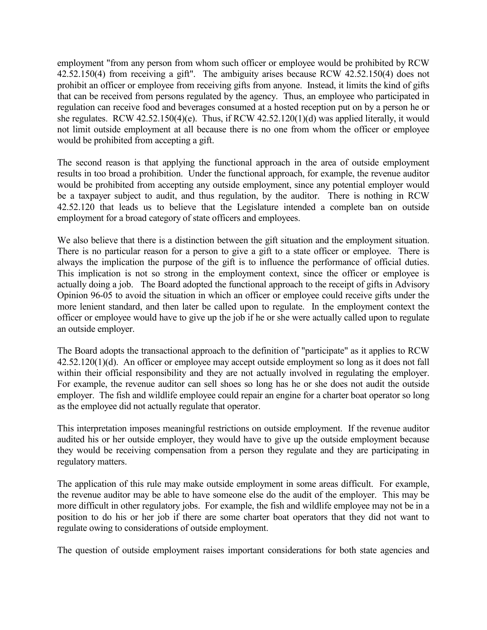employment "from any person from whom such officer or employee would be prohibited by RCW 42.52.150(4) from receiving a gift". The ambiguity arises because RCW 42.52.150(4) does not prohibit an officer or employee from receiving gifts from anyone. Instead, it limits the kind of gifts that can be received from persons regulated by the agency. Thus, an employee who participated in regulation can receive food and beverages consumed at a hosted reception put on by a person he or she regulates. RCW 42.52.150(4)(e). Thus, if RCW 42.52.120(1)(d) was applied literally, it would not limit outside employment at all because there is no one from whom the officer or employee would be prohibited from accepting a gift.

The second reason is that applying the functional approach in the area of outside employment results in too broad a prohibition. Under the functional approach, for example, the revenue auditor would be prohibited from accepting any outside employment, since any potential employer would be a taxpayer subject to audit, and thus regulation, by the auditor. There is nothing in RCW 42.52.120 that leads us to believe that the Legislature intended a complete ban on outside employment for a broad category of state officers and employees.

We also believe that there is a distinction between the gift situation and the employment situation. There is no particular reason for a person to give a gift to a state officer or employee. There is always the implication the purpose of the gift is to influence the performance of official duties. This implication is not so strong in the employment context, since the officer or employee is actually doing a job. The Board adopted the functional approach to the receipt of gifts in Advisory Opinion 96-05 to avoid the situation in which an officer or employee could receive gifts under the more lenient standard, and then later be called upon to regulate. In the employment context the officer or employee would have to give up the job if he or she were actually called upon to regulate an outside employer.

The Board adopts the transactional approach to the definition of "participate" as it applies to RCW 42.52.120(1)(d). An officer or employee may accept outside employment so long as it does not fall within their official responsibility and they are not actually involved in regulating the employer. For example, the revenue auditor can sell shoes so long has he or she does not audit the outside employer. The fish and wildlife employee could repair an engine for a charter boat operator so long as the employee did not actually regulate that operator.

This interpretation imposes meaningful restrictions on outside employment. If the revenue auditor audited his or her outside employer, they would have to give up the outside employment because they would be receiving compensation from a person they regulate and they are participating in regulatory matters.

The application of this rule may make outside employment in some areas difficult. For example, the revenue auditor may be able to have someone else do the audit of the employer. This may be more difficult in other regulatory jobs. For example, the fish and wildlife employee may not be in a position to do his or her job if there are some charter boat operators that they did not want to regulate owing to considerations of outside employment.

The question of outside employment raises important considerations for both state agencies and